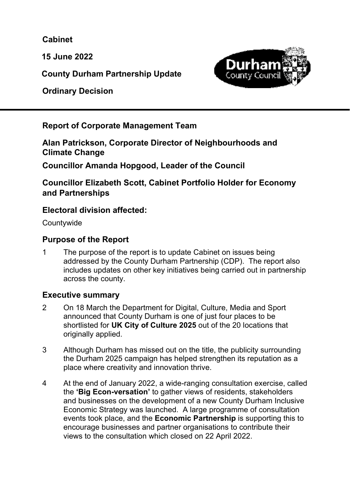**Cabinet** 

**15 June 2022** 

**County Durham Partnership Update** 

 **Ordinary Decision** 



**Report of Corporate Management Team** 

**Alan Patrickson, Corporate Director of Neighbourhoods and Climate Change** 

**Councillor Amanda Hopgood, Leader of the Council** 

**Councillor Elizabeth Scott, Cabinet Portfolio Holder for Economy and Partnerships** 

#### **Electoral division affected:**

**Countywide** 

#### **Purpose of the Report**

1 The purpose of the report is to update Cabinet on issues being addressed by the County Durham Partnership (CDP). The report also includes updates on other key initiatives being carried out in partnership across the county.

#### **Executive summary**

- 2 On 18 March the Department for Digital, Culture, Media and Sport announced that County Durham is one of just four places to be shortlisted for **UK City of Culture 2025** out of the 20 locations that originally applied.
- 3 Although Durham has missed out on the title, the publicity surrounding the Durham 2025 campaign has helped strengthen its reputation as a place where creativity and innovation thrive.
- 4 At the end of January 2022, a wide-ranging consultation exercise, called the **'Big Econ-versation'** to gather views of residents, stakeholders and businesses on the development of a new County Durham Inclusive Economic Strategy was launched. A large programme of consultation events took place, and the **Economic Partnership** is supporting this to encourage businesses and partner organisations to contribute their views to the consultation which closed on 22 April 2022.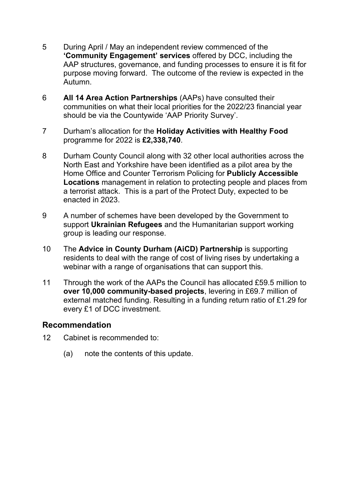- 5 During April / May an independent review commenced of the **'Community Engagement' services** offered by DCC, including the AAP structures, governance, and funding processes to ensure it is fit for purpose moving forward. The outcome of the review is expected in the Autumn.
- 6 **All 14 Area Action Partnerships** (AAPs) have consulted their communities on what their local priorities for the 2022/23 financial year should be via the Countywide 'AAP Priority Survey'.
- 7 Durham's allocation for the **Holiday Activities with Healthy Food** programme for 2022 is **£2,338,740**.
- 8 Durham County Council along with 32 other local authorities across the North East and Yorkshire have been identified as a pilot area by the Home Office and Counter Terrorism Policing for **Publicly Accessible Locations** management in relation to protecting people and places from a terrorist attack. This is a part of the Protect Duty, expected to be enacted in 2023.
- 9 A number of schemes have been developed by the Government to support **Ukrainian Refugees** and the Humanitarian support working group is leading our response.
- 10 The **Advice in County Durham (AiCD) Partnership** is supporting residents to deal with the range of cost of living rises by undertaking a webinar with a range of organisations that can support this.
- 11 Through the work of the AAPs the Council has allocated £59.5 million to **over 10,000 community-based projects**, levering in £69.7 million of external matched funding. Resulting in a funding return ratio of £1.29 for every £1 of DCC investment.

#### **Recommendation**

- 12 Cabinet is recommended to:
	- (a) note the contents of this update.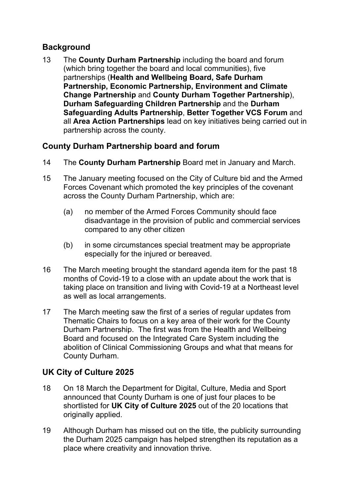#### **Background**

13 The **County Durham Partnership** including the board and forum (which bring together the board and local communities), five partnerships (**Health and Wellbeing Board, Safe Durham Partnership, Economic Partnership, Environment and Climate Change Partnership** and **County Durham Together Partnership**), **Durham Safeguarding Children Partnership** and the **Durham Safeguarding Adults Partnership**, **Better Together VCS Forum** and all **Area Action Partnerships** lead on key initiatives being carried out in partnership across the county.

#### **County Durham Partnership board and forum**

- 14 The **County Durham Partnership** Board met in January and March.
- 15 The January meeting focused on the City of Culture bid and the Armed Forces Covenant which promoted the key principles of the covenant across the County Durham Partnership, which are:
	- (a) no member of the Armed Forces Community should face disadvantage in the provision of public and commercial services compared to any other citizen
	- (b) in some circumstances special treatment may be appropriate especially for the injured or bereaved.
- 16 The March meeting brought the standard agenda item for the past 18 months of Covid-19 to a close with an update about the work that is taking place on transition and living with Covid-19 at a Northeast level as well as local arrangements.
- 17 The March meeting saw the first of a series of regular updates from Thematic Chairs to focus on a key area of their work for the County Durham Partnership. The first was from the Health and Wellbeing Board and focused on the Integrated Care System including the abolition of Clinical Commissioning Groups and what that means for County Durham.

## **UK City of Culture 2025**

- 18 On 18 March the Department for Digital, Culture, Media and Sport announced that County Durham is one of just four places to be shortlisted for **UK City of Culture 2025** out of the 20 locations that originally applied.
- 19 Although Durham has missed out on the title, the publicity surrounding the Durham 2025 campaign has helped strengthen its reputation as a place where creativity and innovation thrive.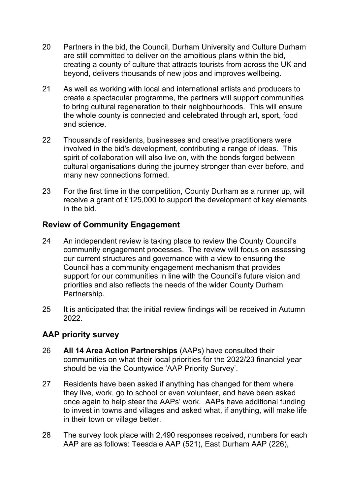- 20 Partners in the bid, the Council, Durham University and Culture Durham are still committed to deliver on the ambitious plans within the bid, creating a county of culture that attracts tourists from across the UK and beyond, delivers thousands of new jobs and improves wellbeing.
- 21 As well as working with local and international artists and producers to create a spectacular programme, the partners will support communities to bring cultural regeneration to their neighbourhoods. This will ensure the whole county is connected and celebrated through art, sport, food and science.
- 22 Thousands of residents, businesses and creative practitioners were involved in the bid's development, contributing a range of ideas. This spirit of collaboration will also live on, with the bonds forged between cultural organisations during the journey stronger than ever before, and many new connections formed.
- 23 For the first time in the competition, County Durham as a runner up, will receive a grant of £125,000 to support the development of key elements in the bid.

#### **Review of Community Engagement**

- 24 An independent review is taking place to review the County Council's community engagement processes. The review will focus on assessing our current structures and governance with a view to ensuring the Council has a community engagement mechanism that provides support for our communities in line with the Council's future vision and priorities and also reflects the needs of the wider County Durham Partnership.
- 25 It is anticipated that the initial review findings will be received in Autumn 2022.

## **AAP priority survey**

- 26 **All 14 Area Action Partnerships** (AAPs) have consulted their communities on what their local priorities for the 2022/23 financial year should be via the Countywide 'AAP Priority Survey'.
- 27 Residents have been asked if anything has changed for them where they live, work, go to school or even volunteer, and have been asked once again to help steer the AAPs' work. AAPs have additional funding to invest in towns and villages and asked what, if anything, will make life in their town or village better.
- 28 The survey took place with 2,490 responses received, numbers for each AAP are as follows: Teesdale AAP (521), East Durham AAP (226),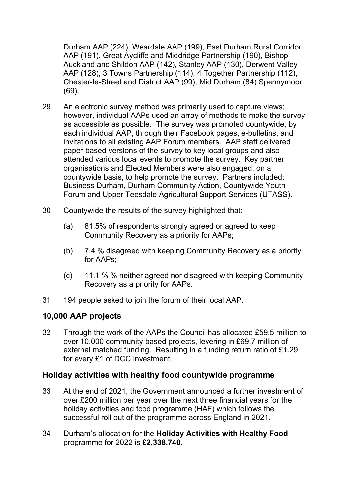Durham AAP (224), Weardale AAP (199), East Durham Rural Corridor AAP (191), Great Aycliffe and Middridge Partnership (190), Bishop Auckland and Shildon AAP (142), Stanley AAP (130), Derwent Valley AAP (128), 3 Towns Partnership (114), 4 Together Partnership (112), Chester-le-Street and District AAP (99), Mid Durham (84) Spennymoor (69).

- 29 An electronic survey method was primarily used to capture views; however, individual AAPs used an array of methods to make the survey as accessible as possible. The survey was promoted countywide, by each individual AAP, through their Facebook pages, e-bulletins, and invitations to all existing AAP Forum members. AAP staff delivered paper-based versions of the survey to key local groups and also attended various local events to promote the survey. Key partner organisations and Elected Members were also engaged, on a countywide basis, to help promote the survey. Partners included: Business Durham, Durham Community Action, Countywide Youth Forum and Upper Teesdale Agricultural Support Services (UTASS).
- 30 Countywide the results of the survey highlighted that:
	- (a) 81.5% of respondents strongly agreed or agreed to keep Community Recovery as a priority for AAPs;
	- (b) 7.4 % disagreed with keeping Community Recovery as a priority for AAPs;
	- (c) 11.1 % % neither agreed nor disagreed with keeping Community Recovery as a priority for AAPs.
- 31 194 people asked to join the forum of their local AAP.

#### **10,000 AAP projects**

32 Through the work of the AAPs the Council has allocated £59.5 million to over 10,000 community-based projects, levering in £69.7 million of external matched funding. Resulting in a funding return ratio of £1.29 for every £1 of DCC investment.

#### **Holiday activities with healthy food countywide programme**

- 33 At the end of 2021, the Government announced a further investment of over £200 million per year over the next three financial years for the holiday activities and food programme (HAF) which follows the successful roll out of the programme across England in 2021.
- 34 Durham's allocation for the **Holiday Activities with Healthy Food** programme for 2022 is **£2,338,740**.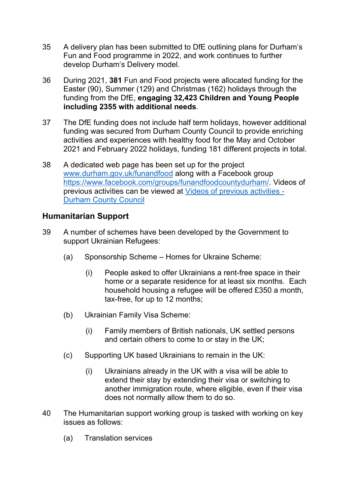- 35 A delivery plan has been submitted to DfE outlining plans for Durham's Fun and Food programme in 2022, and work continues to further develop Durham's Delivery model.
- 36 During 2021, **381** Fun and Food projects were allocated funding for the Easter (90), Summer (129) and Christmas (162) holidays through the funding from the DfE, **engaging 32,423 Children and Young People including 2355 with additional needs**.
- 37 The DfE funding does not include half term holidays, however additional funding was secured from Durham County Council to provide enriching activities and experiences with healthy food for the May and October 2021 and February 2022 holidays, funding 181 different projects in total.
- 38 A dedicated web page has been set up for the project www.durham.gov.uk/funandfood along with a Facebook group https://www.facebook.com/groups/funandfoodcountydurham/. Videos of previous activities can be viewed at Videos of previous activities - Durham County Council

#### **Humanitarian Support**

- 39 A number of schemes have been developed by the Government to support Ukrainian Refugees:
	- (a) Sponsorship Scheme Homes for Ukraine Scheme:
		- (i) People asked to offer Ukrainians a rent-free space in their home or a separate residence for at least six months. Each household housing a refugee will be offered £350 a month, tax-free, for up to 12 months;
	- (b) Ukrainian Family Visa Scheme:
		- (i) Family members of British nationals, UK settled persons and certain others to come to or stay in the UK;
	- (c) Supporting UK based Ukrainians to remain in the UK:
		- (i) Ukrainians already in the UK with a visa will be able to extend their stay by extending their visa or switching to another immigration route, where eligible, even if their visa does not normally allow them to do so.
- 40 The Humanitarian support working group is tasked with working on key issues as follows:
	- (a) Translation services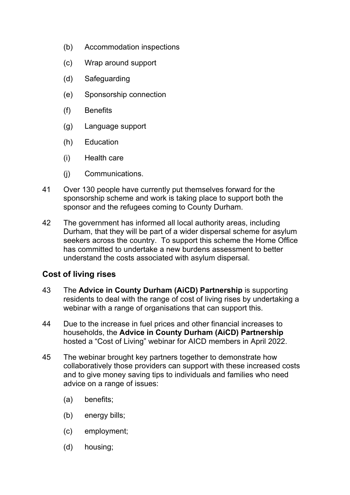- (b) Accommodation inspections
- (c) Wrap around support
- (d) Safeguarding
- (e) Sponsorship connection
- (f) Benefits
- (g) Language support
- (h) Education
- (i) Health care
- (j) Communications.
- 41 Over 130 people have currently put themselves forward for the sponsorship scheme and work is taking place to support both the sponsor and the refugees coming to County Durham.
- 42 The government has informed all local authority areas, including Durham, that they will be part of a wider dispersal scheme for asylum seekers across the country. To support this scheme the Home Office has committed to undertake a new burdens assessment to better understand the costs associated with asylum dispersal.

#### **Cost of living rises**

- 43 The **Advice in County Durham (AiCD) Partnership** is supporting residents to deal with the range of cost of living rises by undertaking a webinar with a range of organisations that can support this.
- 44 Due to the increase in fuel prices and other financial increases to households, the **Advice in County Durham (AiCD) Partnership** hosted a "Cost of Living" webinar for AICD members in April 2022.
- 45 The webinar brought key partners together to demonstrate how collaboratively those providers can support with these increased costs and to give money saving tips to individuals and families who need advice on a range of issues:
	- (a) benefits;
	- (b) energy bills;
	- (c) employment;
	- (d) housing;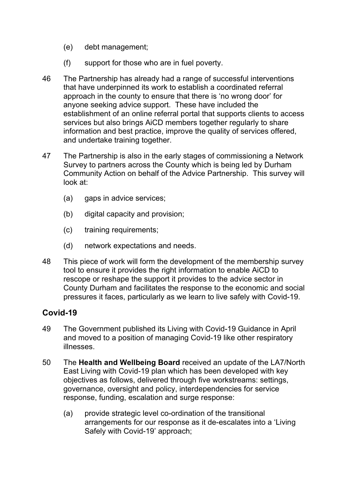- (e) debt management;
- (f) support for those who are in fuel poverty.
- 46 The Partnership has already had a range of successful interventions that have underpinned its work to establish a coordinated referral approach in the county to ensure that there is 'no wrong door' for anyone seeking advice support. These have included the establishment of an online referral portal that supports clients to access services but also brings AiCD members together regularly to share information and best practice, improve the quality of services offered, and undertake training together.
- 47 The Partnership is also in the early stages of commissioning a Network Survey to partners across the County which is being led by Durham Community Action on behalf of the Advice Partnership. This survey will look at:
	- (a) gaps in advice services;
	- (b) digital capacity and provision;
	- (c) training requirements;
	- (d) network expectations and needs.
- 48 This piece of work will form the development of the membership survey tool to ensure it provides the right information to enable AiCD to rescope or reshape the support it provides to the advice sector in County Durham and facilitates the response to the economic and social pressures it faces, particularly as we learn to live safely with Covid-19.

#### **Covid-19**

- 49 The Government published its Living with Covid-19 Guidance in April and moved to a position of managing Covid-19 like other respiratory illnesses.
- 50 The **Health and Wellbeing Board** received an update of the LA7/North East Living with Covid-19 plan which has been developed with key objectives as follows, delivered through five workstreams: settings, governance, oversight and policy, interdependencies for service response, funding, escalation and surge response:
	- (a) provide strategic level co-ordination of the transitional arrangements for our response as it de-escalates into a 'Living Safely with Covid-19' approach;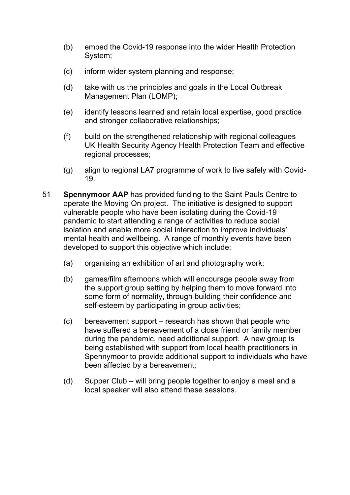- (b) embed the Covid-19 response into the wider Health Protection System;
- (c) inform wider system planning and response;
- (d) take with us the principles and goals in the Local Outbreak Management Plan (LOMP);
- (e) identify lessons learned and retain local expertise, good practice and stronger collaborative relationships;
- (f) build on the strengthened relationship with regional colleagues UK Health Security Agency Health Protection Team and effective regional processes;
- (g) align to regional LA7 programme of work to live safely with Covid-19.
- 51 **Spennymoor AAP** has provided funding to the Saint Pauls Centre to operate the Moving On project. The initiative is designed to support vulnerable people who have been isolating during the Covid-19 pandemic to start attending a range of activities to reduce social isolation and enable more social interaction to improve individuals' mental health and wellbeing. A range of monthly events have been developed to support this objective which include:
	- (a) organising an exhibition of art and photography work;
	- (b) games/film afternoons which will encourage people away from the support group setting by helping them to move forward into some form of normality, through building their confidence and self-esteem by participating in group activities;
	- (c) bereavement support research has shown that people who have suffered a bereavement of a close friend or family member during the pandemic, need additional support. A new group is being established with support from local health practitioners in Spennymoor to provide additional support to individuals who have been affected by a bereavement;
	- (d) Supper Club will bring people together to enjoy a meal and a local speaker will also attend these sessions.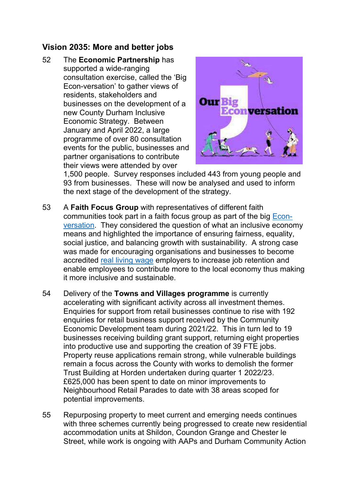## **Vision 2035: More and better jobs**

52 The **Economic Partnership** has supported a wide-ranging consultation exercise, called the 'Big Econ-versation' to gather views of residents, stakeholders and businesses on the development of a new County Durham Inclusive Economic Strategy. Between January and April 2022, a large programme of over 80 consultation events for the public, businesses and partner organisations to contribute their views were attended by over



1,500 people. Survey responses included 443 from young people and 93 from businesses. These will now be analysed and used to inform the next stage of the development of the strategy.

- 53 A **Faith Focus Group** with representatives of different faith communities took part in a faith focus group as part of the big Econversation. They considered the question of what an inclusive economy means and highlighted the importance of ensuring fairness, equality, social justice, and balancing growth with sustainability. A strong case was made for encouraging organisations and businesses to become accredited real living wage employers to increase job retention and enable employees to contribute more to the local economy thus making it more inclusive and sustainable.
- 54 Delivery of the **Towns and Villages programme** is currently accelerating with significant activity across all investment themes. Enquiries for support from retail businesses continue to rise with 192 enquiries for retail business support received by the Community Economic Development team during 2021/22. This in turn led to 19 businesses receiving building grant support, returning eight properties into productive use and supporting the creation of 39 FTE jobs. Property reuse applications remain strong, while vulnerable buildings remain a focus across the County with works to demolish the former Trust Building at Horden undertaken during quarter 1 2022/23. £625,000 has been spent to date on minor improvements to Neighbourhood Retail Parades to date with 38 areas scoped for potential improvements.
- 55 Repurposing property to meet current and emerging needs continues with three schemes currently being progressed to create new residential accommodation units at Shildon, Coundon Grange and Chester le Street, while work is ongoing with AAPs and Durham Community Action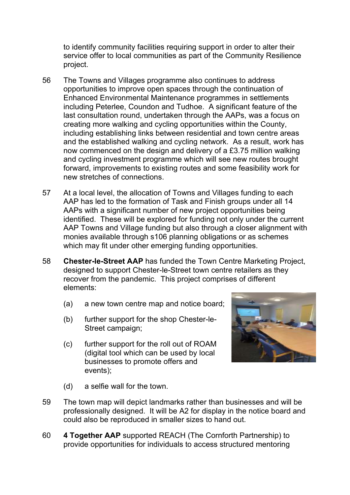to identify community facilities requiring support in order to alter their service offer to local communities as part of the Community Resilience project.

- 56 The Towns and Villages programme also continues to address opportunities to improve open spaces through the continuation of Enhanced Environmental Maintenance programmes in settlements including Peterlee, Coundon and Tudhoe. A significant feature of the last consultation round, undertaken through the AAPs, was a focus on creating more walking and cycling opportunities within the County, including establishing links between residential and town centre areas and the established walking and cycling network. As a result, work has now commenced on the design and delivery of a £3.75 million walking and cycling investment programme which will see new routes brought forward, improvements to existing routes and some feasibility work for new stretches of connections.
- 57 At a local level, the allocation of Towns and Villages funding to each AAP has led to the formation of Task and Finish groups under all 14 AAPs with a significant number of new project opportunities being identified. These will be explored for funding not only under the current AAP Towns and Village funding but also through a closer alignment with monies available through s106 planning obligations or as schemes which may fit under other emerging funding opportunities.
- 58 **Chester-le-Street AAP** has funded the Town Centre Marketing Project, designed to support Chester-le-Street town centre retailers as they recover from the pandemic. This project comprises of different elements:
	- (a) a new town centre map and notice board;
	- (b) further support for the shop Chester-le-Street campaign;
	- (c) further support for the roll out of ROAM (digital tool which can be used by local businesses to promote offers and events);



- (d) a selfie wall for the town.
- 59 The town map will depict landmarks rather than businesses and will be professionally designed. It will be A2 for display in the notice board and could also be reproduced in smaller sizes to hand out.
- 60 **4 Together AAP** supported REACH (The Cornforth Partnership) to provide opportunities for individuals to access structured mentoring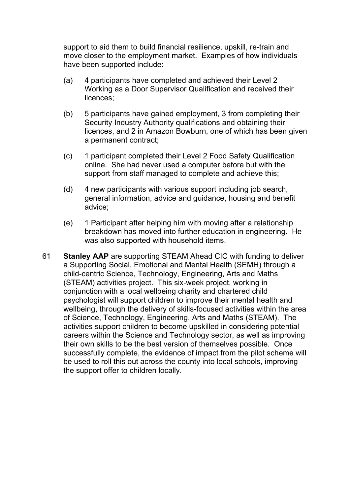support to aid them to build financial resilience, upskill, re-train and move closer to the employment market. Examples of how individuals have been supported include:

- (a) 4 participants have completed and achieved their Level 2 Working as a Door Supervisor Qualification and received their licences;
- (b) 5 participants have gained employment, 3 from completing their Security Industry Authority qualifications and obtaining their licences, and 2 in Amazon Bowburn, one of which has been given a permanent contract;
- (c) 1 participant completed their Level 2 Food Safety Qualification online. She had never used a computer before but with the support from staff managed to complete and achieve this;
- (d) 4 new participants with various support including job search, general information, advice and guidance, housing and benefit advice;
- (e) 1 Participant after helping him with moving after a relationship breakdown has moved into further education in engineering. He was also supported with household items.
- 61 **Stanley AAP** are supporting STEAM Ahead CIC with funding to deliver a Supporting Social, Emotional and Mental Health (SEMH) through a child-centric Science, Technology, Engineering, Arts and Maths (STEAM) activities project. This six-week project, working in conjunction with a local wellbeing charity and chartered child psychologist will support children to improve their mental health and wellbeing, through the delivery of skills-focused activities within the area of Science, Technology, Engineering, Arts and Maths (STEAM). The activities support children to become upskilled in considering potential careers within the Science and Technology sector, as well as improving their own skills to be the best version of themselves possible. Once successfully complete, the evidence of impact from the pilot scheme will be used to roll this out across the county into local schools, improving the support offer to children locally.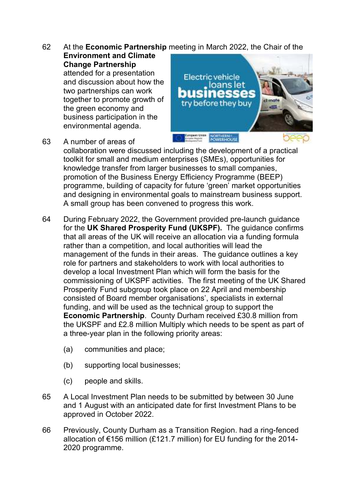62 At the **Economic Partnership** meeting in March 2022, the Chair of the

**Environment and Climate Change Partnership** attended for a presentation and discussion about how the two partnerships can work together to promote growth of the green economy and business participation in the environmental agenda.



63 A number of areas of

collaboration were discussed including the development of a practical toolkit for small and medium enterprises (SMEs), opportunities for knowledge transfer from larger businesses to small companies, promotion of the Business Energy Efficiency Programme (BEEP) programme, building of capacity for future 'green' market opportunities and designing in environmental goals to mainstream business support. A small group has been convened to progress this work.

- 64 During February 2022, the Government provided pre-launch guidance for the **UK Shared Prosperity Fund (UKSPF).** The guidance confirms that all areas of the UK will receive an allocation via a funding formula rather than a competition, and local authorities will lead the management of the funds in their areas. The guidance outlines a key role for partners and stakeholders to work with local authorities to develop a local Investment Plan which will form the basis for the commissioning of UKSPF activities. The first meeting of the UK Shared Prosperity Fund subgroup took place on 22 April and membership consisted of Board member organisations', specialists in external funding, and will be used as the technical group to support the **Economic Partnership**. County Durham received £30.8 million from the UKSPF and £2.8 million Multiply which needs to be spent as part of a three-year plan in the following priority areas:
	- (a) communities and place;
	- (b) supporting local businesses;
	- (c) people and skills.
- 65 A Local Investment Plan needs to be submitted by between 30 June and 1 August with an anticipated date for first Investment Plans to be approved in October 2022.
- 66 Previously, County Durham as a Transition Region. had a ring-fenced allocation of €156 million (£121.7 million) for EU funding for the 2014- 2020 programme.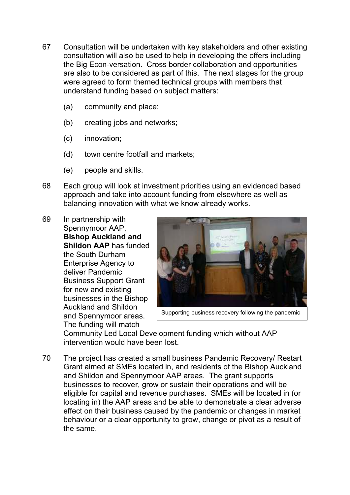- 67 Consultation will be undertaken with key stakeholders and other existing consultation will also be used to help in developing the offers including the Big Econ-versation. Cross border collaboration and opportunities are also to be considered as part of this. The next stages for the group were agreed to form themed technical groups with members that understand funding based on subject matters:
	- (a) community and place;
	- (b) creating jobs and networks;
	- (c) innovation;
	- (d) town centre footfall and markets;
	- (e) people and skills.
- 68 Each group will look at investment priorities using an evidenced based approach and take into account funding from elsewhere as well as balancing innovation with what we know already works.
- 69 In partnership with Spennymoor AAP, **Bishop Auckland and Shildon AAP** has funded the South Durham Enterprise Agency to deliver Pandemic Business Support Grant for new and existing businesses in the Bishop Auckland and Shildon and Spennymoor areas. The funding will match



Supporting business recovery following the pandemic

Community Led Local Development funding which without AAP intervention would have been lost.

70 The project has created a small business Pandemic Recovery/ Restart Grant aimed at SMEs located in, and residents of the Bishop Auckland and Shildon and Spennymoor AAP areas. The grant supports businesses to recover, grow or sustain their operations and will be eligible for capital and revenue purchases. SMEs will be located in (or locating in) the AAP areas and be able to demonstrate a clear adverse effect on their business caused by the pandemic or changes in market behaviour or a clear opportunity to grow, change or pivot as a result of the same.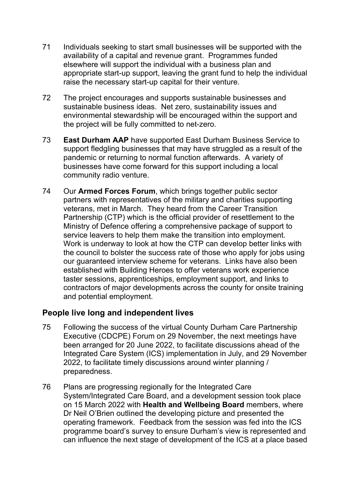- 71 Individuals seeking to start small businesses will be supported with the availability of a capital and revenue grant. Programmes funded elsewhere will support the individual with a business plan and appropriate start-up support, leaving the grant fund to help the individual raise the necessary start-up capital for their venture.
- 72 The project encourages and supports sustainable businesses and sustainable business ideas. Net zero, sustainability issues and environmental stewardship will be encouraged within the support and the project will be fully committed to net-zero.
- 73 **East Durham AAP** have supported East Durham Business Service to support fledgling businesses that may have struggled as a result of the pandemic or returning to normal function afterwards. A variety of businesses have come forward for this support including a local community radio venture.
- 74 Our **Armed Forces Forum**, which brings together public sector partners with representatives of the military and charities supporting veterans, met in March. They heard from the Career Transition Partnership (CTP) which is the official provider of resettlement to the Ministry of Defence offering a comprehensive package of support to service leavers to help them make the transition into employment. Work is underway to look at how the CTP can develop better links with the council to bolster the success rate of those who apply for jobs using our guaranteed interview scheme for veterans. Links have also been established with Building Heroes to offer veterans work experience taster sessions, apprenticeships, employment support, and links to contractors of major developments across the county for onsite training and potential employment.

#### **People live long and independent lives**

- 75 Following the success of the virtual County Durham Care Partnership Executive (CDCPE) Forum on 29 November, the next meetings have been arranged for 20 June 2022, to facilitate discussions ahead of the Integrated Care System (ICS) implementation in July, and 29 November 2022, to facilitate timely discussions around winter planning / preparedness.
- 76 Plans are progressing regionally for the Integrated Care System/Integrated Care Board, and a development session took place on 15 March 2022 with **Health and Wellbeing Board** members, where Dr Neil O'Brien outlined the developing picture and presented the operating framework. Feedback from the session was fed into the ICS programme board's survey to ensure Durham's view is represented and can influence the next stage of development of the ICS at a place based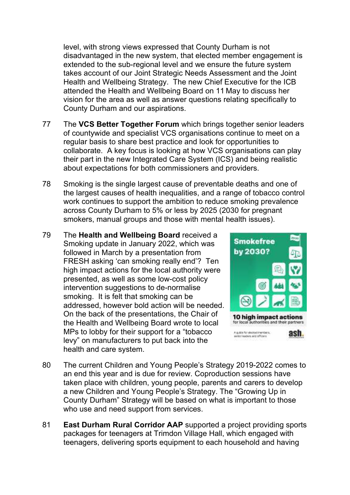level, with strong views expressed that County Durham is not disadvantaged in the new system, that elected member engagement is extended to the sub-regional level and we ensure the future system takes account of our Joint Strategic Needs Assessment and the Joint Health and Wellbeing Strategy. The new Chief Executive for the ICB attended the Health and Wellbeing Board on 11 May to discuss her vision for the area as well as answer questions relating specifically to County Durham and our aspirations.

- 77 The **VCS Better Together Forum** which brings together senior leaders of countywide and specialist VCS organisations continue to meet on a regular basis to share best practice and look for opportunities to collaborate. A key focus is looking at how VCS organisations can play their part in the new Integrated Care System (ICS) and being realistic about expectations for both commissioners and providers.
- 78 Smoking is the single largest cause of preventable deaths and one of the largest causes of health inequalities, and a range of tobacco control work continues to support the ambition to reduce smoking prevalence across County Durham to 5% or less by 2025 (2030 for pregnant smokers, manual groups and those with mental health issues).
- 79 The **Health and Wellbeing Board** received a Smoking update in January 2022, which was followed in March by a presentation from FRESH asking 'can smoking really end'? Ten high impact actions for the local authority were presented, as well as some low-cost policy intervention suggestions to de-normalise smoking. It is felt that smoking can be addressed, however bold action will be needed. On the back of the presentations, the Chair of the Health and Wellbeing Board wrote to local MPs to lobby for their support for a "tobacco levy" on manufacturers to put back into the health and care system.



- 80 The current Children and Young People's Strategy 2019-2022 comes to an end this year and is due for review. Coproduction sessions have taken place with children, young people, parents and carers to develop a new Children and Young People's Strategy. The "Growing Up in County Durham" Strategy will be based on what is important to those who use and need support from services.
- 81 **East Durham Rural Corridor AAP** supported a project providing sports packages for teenagers at Trimdon Village Hall, which engaged with teenagers, delivering sports equipment to each household and having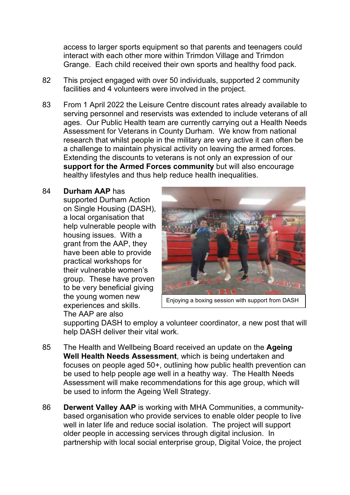access to larger sports equipment so that parents and teenagers could interact with each other more within Trimdon Village and Trimdon Grange. Each child received their own sports and healthy food pack.

- 82 This project engaged with over 50 individuals, supported 2 community facilities and 4 volunteers were involved in the project.
- 83 From 1 April 2022 the Leisure Centre discount rates already available to serving personnel and reservists was extended to include veterans of all ages. Our Public Health team are currently carrying out a Health Needs Assessment for Veterans in County Durham. We know from national research that whilst people in the military are very active it can often be a challenge to maintain physical activity on leaving the armed forces. Extending the discounts to veterans is not only an expression of our **support for the Armed Forces community** but will also encourage healthy lifestyles and thus help reduce health inequalities.

#### 84 **Durham AAP** has

supported Durham Action on Single Housing (DASH), a local organisation that help vulnerable people with housing issues. With a grant from the AAP, they have been able to provide practical workshops for their vulnerable women's group. These have proven to be very beneficial giving the young women new experiences and skills. The AAP are also



Enjoying a boxing session with support from DASH

supporting DASH to employ a volunteer coordinator, a new post that will help DASH deliver their vital work.

- 85 The Health and Wellbeing Board received an update on the **Ageing Well Health Needs Assessment**, which is being undertaken and focuses on people aged 50+, outlining how public health prevention can be used to help people age well in a heathy way. The Health Needs Assessment will make recommendations for this age group, which will be used to inform the Ageing Well Strategy.
- 86 **Derwent Valley AAP** is working with MHA Communities, a communitybased organisation who provide services to enable older people to live well in later life and reduce social isolation. The project will support older people in accessing services through digital inclusion. In partnership with local social enterprise group, Digital Voice, the project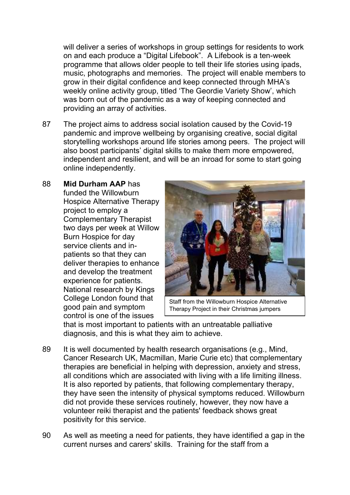will deliver a series of workshops in group settings for residents to work on and each produce a "Digital Lifebook". A Lifebook is a ten-week programme that allows older people to tell their life stories using ipads, music, photographs and memories. The project will enable members to grow in their digital confidence and keep connected through MHA's weekly online activity group, titled 'The Geordie Variety Show', which was born out of the pandemic as a way of keeping connected and providing an array of activities.

- 87 The project aims to address social isolation caused by the Covid-19 pandemic and improve wellbeing by organising creative, social digital storytelling workshops around life stories among peers. The project will also boost participants' digital skills to make them more empowered, independent and resilient, and will be an inroad for some to start going online independently.
- 88 **Mid Durham AAP** has funded the Willowburn Hospice Alternative Therapy project to employ a Complementary Therapist two days per week at Willow Burn Hospice for day service clients and inpatients so that they can deliver therapies to enhance and develop the treatment experience for patients. National research by Kings College London found that good pain and symptom control is one of the issues



Staff from the Willowburn Hospice Alternative Therapy Project in their Christmas jumpers

that is most important to patients with an untreatable palliative diagnosis, and this is what they aim to achieve.

- 89 It is well documented by health research organisations (e.g., Mind, Cancer Research UK, Macmillan, Marie Curie etc) that complementary therapies are beneficial in helping with depression, anxiety and stress, all conditions which are associated with living with a life limiting illness. It is also reported by patients, that following complementary therapy, they have seen the intensity of physical symptoms reduced. Willowburn did not provide these services routinely, however, they now have a volunteer reiki therapist and the patients' feedback shows great positivity for this service.
- 90 As well as meeting a need for patients, they have identified a gap in the current nurses and carers' skills. Training for the staff from a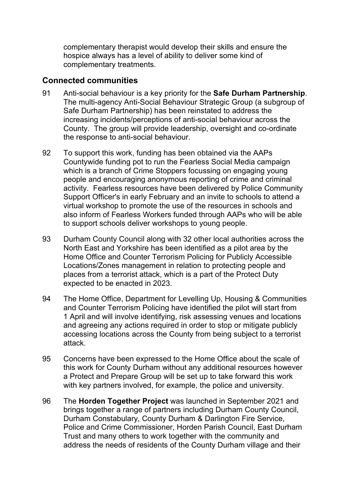complementary therapist would develop their skills and ensure the hospice always has a level of ability to deliver some kind of complementary treatments.

#### **Connected communities**

- 91 Anti-social behaviour is a key priority for the **Safe Durham Partnership**. The multi-agency Anti-Social Behaviour Strategic Group (a subgroup of Safe Durham Partnership) has been reinstated to address the increasing incidents/perceptions of anti-social behaviour across the County. The group will provide leadership, oversight and co-ordinate the response to anti-social behaviour.
- 92 To support this work, funding has been obtained via the AAPs Countywide funding pot to run the Fearless Social Media campaign which is a branch of Crime Stoppers focussing on engaging young people and encouraging anonymous reporting of crime and criminal activity. Fearless resources have been delivered by Police Community Support Officer's in early February and an invite to schools to attend a virtual workshop to promote the use of the resources in schools and also inform of Fearless Workers funded through AAPs who will be able to support schools deliver workshops to young people.
- 93 Durham County Council along with 32 other local authorities across the North East and Yorkshire has been identified as a pilot area by the Home Office and Counter Terrorism Policing for Publicly Accessible Locations/Zones management in relation to protecting people and places from a terrorist attack, which is a part of the Protect Duty expected to be enacted in 2023.
- 94 The Home Office, Department for Levelling Up, Housing & Communities and Counter Terrorism Policing have identified the pilot will start from 1 April and will involve identifying, risk assessing venues and locations and agreeing any actions required in order to stop or mitigate publicly accessing locations across the County from being subject to a terrorist attack.
- 95 Concerns have been expressed to the Home Office about the scale of this work for County Durham without any additional resources however a Protect and Prepare Group will be set up to take forward this work with key partners involved, for example, the police and university.
- 96 The **Horden Together Project** was launched in September 2021 and brings together a range of partners including Durham County Council, Durham Constabulary, County Durham & Darlington Fire Service, Police and Crime Commissioner, Horden Parish Council, East Durham Trust and many others to work together with the community and address the needs of residents of the County Durham village and their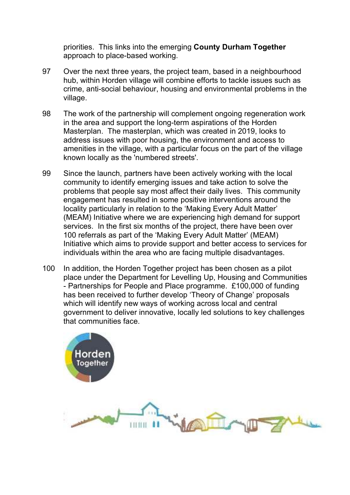priorities. This links into the emerging **County Durham Together** approach to place-based working.

- 97 Over the next three years, the project team, based in a neighbourhood hub, within Horden village will combine efforts to tackle issues such as crime, anti-social behaviour, housing and environmental problems in the village.
- 98 The work of the partnership will complement ongoing regeneration work in the area and support the long-term aspirations of the Horden Masterplan. The masterplan, which was created in 2019, looks to address issues with poor housing, the environment and access to amenities in the village, with a particular focus on the part of the village known locally as the 'numbered streets'.
- 99 Since the launch, partners have been actively working with the local community to identify emerging issues and take action to solve the problems that people say most affect their daily lives. This community engagement has resulted in some positive interventions around the locality particularly in relation to the 'Making Every Adult Matter' (MEAM) Initiative where we are experiencing high demand for support services. In the first six months of the project, there have been over 100 referrals as part of the 'Making Every Adult Matter' (MEAM) Initiative which aims to provide support and better access to services for individuals within the area who are facing multiple disadvantages.
- 100 In addition, the Horden Together project has been chosen as a pilot place under the Department for Levelling Up, Housing and Communities - Partnerships for People and Place programme. £100,000 of funding has been received to further develop 'Theory of Change' proposals which will identify new ways of working across local and central government to deliver innovative, locally led solutions to key challenges that communities face.

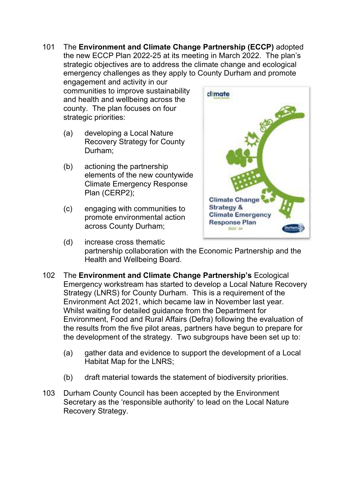101 The **Environment and Climate Change Partnership (ECCP)** adopted the new ECCP Plan 2022-25 at its meeting in March 2022. The plan's strategic objectives are to address the climate change and ecological emergency challenges as they apply to County Durham and promote engagement and activity in our

communities to improve sustainability and health and wellbeing across the county. The plan focuses on four strategic priorities:

- (a) developing a Local Nature Recovery Strategy for County Durham;
- (b) actioning the partnership elements of the new countywide Climate Emergency Response Plan (CERP2);
- (c) engaging with communities to promote environmental action across County Durham;



- (d) increase cross thematic partnership collaboration with the Economic Partnership and the Health and Wellbeing Board.
- 102 The **Environment and Climate Change Partnership's** Ecological Emergency workstream has started to develop a Local Nature Recovery Strategy (LNRS) for County Durham. This is a requirement of the Environment Act 2021, which became law in November last year. Whilst waiting for detailed guidance from the Department for Environment, Food and Rural Affairs (Defra) following the evaluation of the results from the five pilot areas, partners have begun to prepare for the development of the strategy. Two subgroups have been set up to:
	- (a) gather data and evidence to support the development of a Local Habitat Map for the LNRS;
	- (b) draft material towards the statement of biodiversity priorities.
- 103 Durham County Council has been accepted by the Environment Secretary as the 'responsible authority' to lead on the Local Nature Recovery Strategy.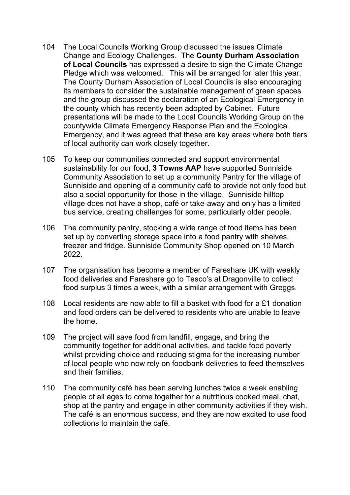- 104 The Local Councils Working Group discussed the issues Climate Change and Ecology Challenges. The **County Durham Association of Local Councils** has expressed a desire to sign the Climate Change Pledge which was welcomed. This will be arranged for later this year. The County Durham Association of Local Councils is also encouraging its members to consider the sustainable management of green spaces and the group discussed the declaration of an Ecological Emergency in the county which has recently been adopted by Cabinet. Future presentations will be made to the Local Councils Working Group on the countywide Climate Emergency Response Plan and the Ecological Emergency, and it was agreed that these are key areas where both tiers of local authority can work closely together.
- 105 To keep our communities connected and support environmental sustainability for our food, **3 Towns AAP** have supported Sunniside Community Association to set up a community Pantry for the village of Sunniside and opening of a community café to provide not only food but also a social opportunity for those in the village. Sunniside hilltop village does not have a shop, café or take-away and only has a limited bus service, creating challenges for some, particularly older people.
- 106 The community pantry, stocking a wide range of food items has been set up by converting storage space into a food pantry with shelves, freezer and fridge. Sunniside Community Shop opened on 10 March 2022.
- 107 The organisation has become a member of Fareshare UK with weekly food deliveries and Fareshare go to Tesco's at Dragonville to collect food surplus 3 times a week, with a similar arrangement with Greggs.
- 108 Local residents are now able to fill a basket with food for a £1 donation and food orders can be delivered to residents who are unable to leave the home.
- 109 The project will save food from landfill, engage, and bring the community together for additional activities, and tackle food poverty whilst providing choice and reducing stigma for the increasing number of local people who now rely on foodbank deliveries to feed themselves and their families.
- 110 The community café has been serving lunches twice a week enabling people of all ages to come together for a nutritious cooked meal, chat, shop at the pantry and engage in other community activities if they wish. The café is an enormous success, and they are now excited to use food collections to maintain the café.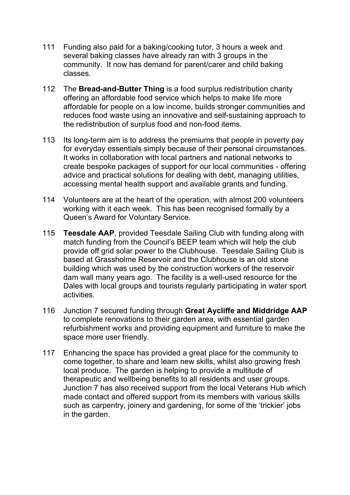- 111 Funding also paid for a baking/cooking tutor, 3 hours a week and several baking classes have already ran with 3 groups in the community. It now has demand for parent/carer and child baking classes.
- 112 The **Bread-and-Butter Thing** is a food surplus redistribution charity offering an affordable food service which helps to make life more affordable for people on a low income, builds stronger communities and reduces food waste using an innovative and self-sustaining approach to the redistribution of surplus food and non-food items.
- 113 Its long-term aim is to address the premiums that people in poverty pay for everyday essentials simply because of their personal circumstances. It works in collaboration with local partners and national networks to create bespoke packages of support for our local communities - offering advice and practical solutions for dealing with debt, managing utilities, accessing mental health support and available grants and funding.
- 114 Volunteers are at the heart of the operation, with almost 200 volunteers working with it each week. This has been recognised formally by a Queen's Award for Voluntary Service.
- 115 **Teesdale AAP**, provided Teesdale Sailing Club with funding along with match funding from the Council's BEEP team which will help the club provide off grid solar power to the Clubhouse. Teesdale Sailing Club is based at Grassholme Reservoir and the Clubhouse is an old stone building which was used by the construction workers of the reservoir dam wall many years ago. The facility is a well-used resource for the Dales with local groups and tourists regularly participating in water sport activities.
- 116 Junction 7 secured funding through **Great Aycliffe and Middridge AAP** to complete renovations to their garden area, with essential garden refurbishment works and providing equipment and furniture to make the space more user friendly.
- 117 Enhancing the space has provided a great place for the community to come together, to share and learn new skills, whilst also growing fresh local produce. The garden is helping to provide a multitude of therapeutic and wellbeing benefits to all residents and user groups. Junction 7 has also received support from the local Veterans Hub which made contact and offered support from its members with various skills such as carpentry, joinery and gardening, for some of the 'trickier' jobs in the garden.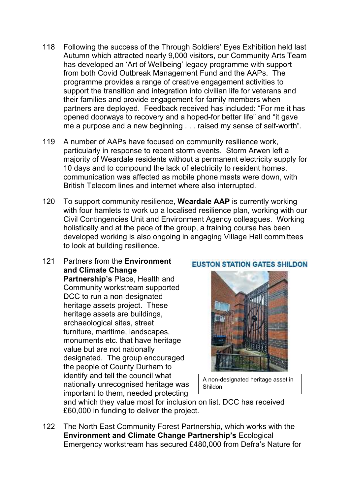- 118 Following the success of the Through Soldiers' Eyes Exhibition held last Autumn which attracted nearly 9,000 visitors, our Community Arts Team has developed an 'Art of Wellbeing' legacy programme with support from both Covid Outbreak Management Fund and the AAPs. The programme provides a range of creative engagement activities to support the transition and integration into civilian life for veterans and their families and provide engagement for family members when partners are deployed. Feedback received has included: "For me it has opened doorways to recovery and a hoped-for better life" and "it gave me a purpose and a new beginning . . . raised my sense of self-worth".
- 119 A number of AAPs have focused on community resilience work, particularly in response to recent storm events. Storm Arwen left a majority of Weardale residents without a permanent electricity supply for 10 days and to compound the lack of electricity to resident homes, communication was affected as mobile phone masts were down, with British Telecom lines and internet where also interrupted.
- 120 To support community resilience, **Weardale AAP** is currently working with four hamlets to work up a localised resilience plan, working with our Civil Contingencies Unit and Environment Agency colleagues. Working holistically and at the pace of the group, a training course has been developed working is also ongoing in engaging Village Hall committees to look at building resilience.
- 121 Partners from the **Environment and Climate Change**

**Partnership's** Place, Health and Community workstream supported DCC to run a non-designated heritage assets project. These heritage assets are buildings, archaeological sites, street furniture, maritime, landscapes, monuments etc. that have heritage value but are not nationally designated. The group encouraged the people of County Durham to identify and tell the council what nationally unrecognised heritage was important to them, needed protecting



A non-designated heritage asset in Shildon

and which they value most for inclusion on list. DCC has received £60,000 in funding to deliver the project.

122 The North East Community Forest Partnership, which works with the **Environment and Climate Change Partnership's** Ecological Emergency workstream has secured £480,000 from Defra's Nature for

#### **EUSTON STATION GATES SHILDON**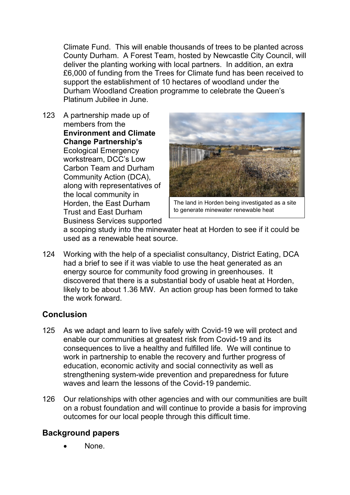Climate Fund. This will enable thousands of trees to be planted across County Durham. A Forest Team, hosted by Newcastle City Council, will deliver the planting working with local partners. In addition, an extra £6,000 of funding from the Trees for Climate fund has been received to support the establishment of 10 hectares of woodland under the Durham Woodland Creation programme to celebrate the Queen's Platinum Jubilee in June.

123 A partnership made up of members from the **Environment and Climate Change Partnership's** Ecological Emergency workstream, DCC's Low Carbon Team and Durham Community Action (DCA), along with representatives of the local community in Horden, the East Durham Trust and East Durham Business Services supported



The land in Horden being investigated as a site to generate minewater renewable heat

a scoping study into the minewater heat at Horden to see if it could be used as a renewable heat source.

124 Working with the help of a specialist consultancy, District Eating, DCA had a brief to see if it was viable to use the heat generated as an energy source for community food growing in greenhouses. It discovered that there is a substantial body of usable heat at Horden, likely to be about 1.36 MW. An action group has been formed to take the work forward.

## **Conclusion**

- 125 As we adapt and learn to live safely with Covid-19 we will protect and enable our communities at greatest risk from Covid-19 and its consequences to live a healthy and fulfilled life. We will continue to work in partnership to enable the recovery and further progress of education, economic activity and social connectivity as well as strengthening system-wide prevention and preparedness for future waves and learn the lessons of the Covid-19 pandemic.
- 126 Our relationships with other agencies and with our communities are built on a robust foundation and will continue to provide a basis for improving outcomes for our local people through this difficult time.

## **Background papers**

None.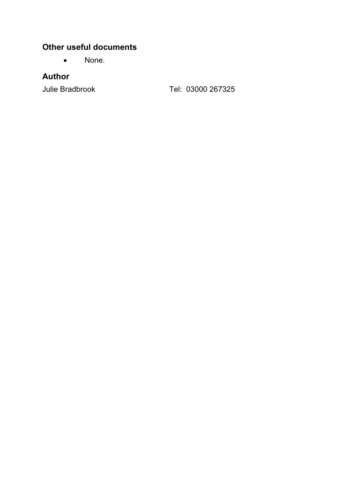## **Other useful documents**

• None.

## **Author**

Julie Bradbrook Tel: 03000 267325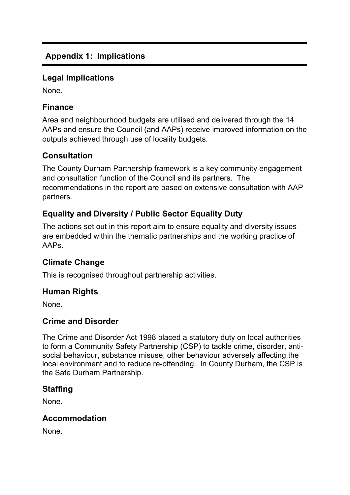## **Appendix 1: Implications**

#### **Legal Implications**

None.

## **Finance**

Area and neighbourhood budgets are utilised and delivered through the 14 AAPs and ensure the Council (and AAPs) receive improved information on the outputs achieved through use of locality budgets.

#### **Consultation**

The County Durham Partnership framework is a key community engagement and consultation function of the Council and its partners. The recommendations in the report are based on extensive consultation with AAP partners.

# **Equality and Diversity / Public Sector Equality Duty**

The actions set out in this report aim to ensure equality and diversity issues are embedded within the thematic partnerships and the working practice of AAPs.

## **Climate Change**

This is recognised throughout partnership activities.

#### **Human Rights**

None.

#### **Crime and Disorder**

The Crime and Disorder Act 1998 placed a statutory duty on local authorities to form a Community Safety Partnership (CSP) to tackle crime, disorder, antisocial behaviour, substance misuse, other behaviour adversely affecting the local environment and to reduce re-offending. In County Durham, the CSP is the Safe Durham Partnership.

## **Staffing**

None.

## **Accommodation**

None.